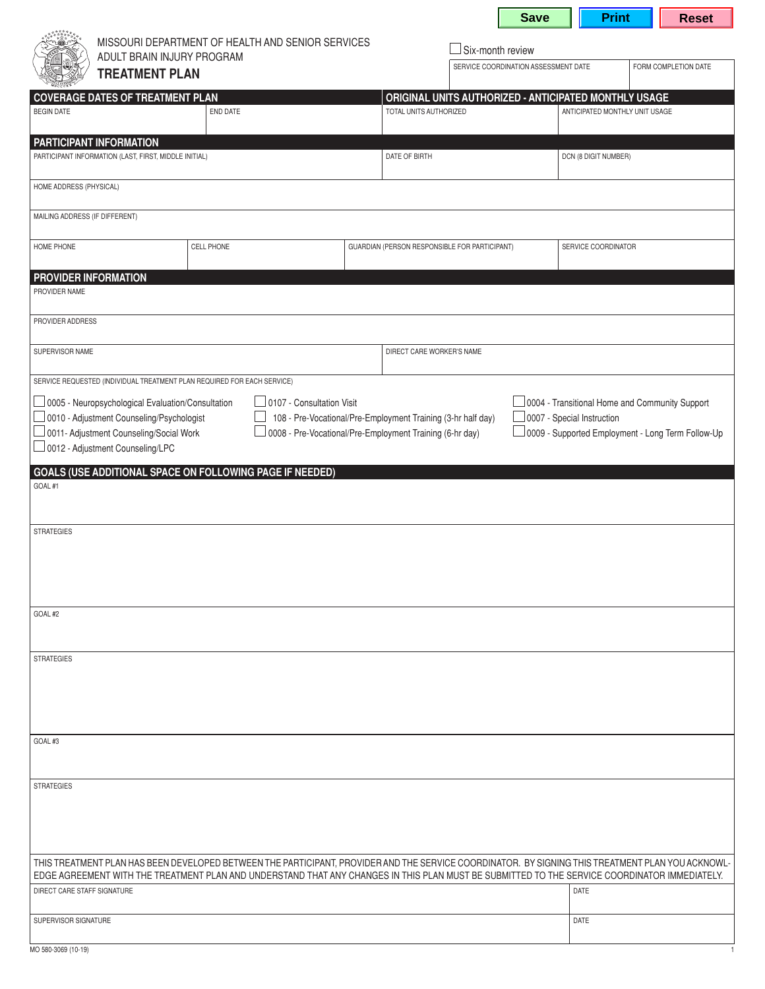|                                                                                                                                                                                                                                                                                                                                                                                                                                                                             |  |                   |  |  |                                               |                                                              | <b>Save</b>                                           | <b>Print</b>                   |  | <b>Reset</b> |  |
|-----------------------------------------------------------------------------------------------------------------------------------------------------------------------------------------------------------------------------------------------------------------------------------------------------------------------------------------------------------------------------------------------------------------------------------------------------------------------------|--|-------------------|--|--|-----------------------------------------------|--------------------------------------------------------------|-------------------------------------------------------|--------------------------------|--|--------------|--|
| MISSOURI DEPARTMENT OF HEALTH AND SENIOR SERVICES<br>ADULT BRAIN INJURY PROGRAM<br><b>TREATMENT PLAN</b>                                                                                                                                                                                                                                                                                                                                                                    |  |                   |  |  |                                               | Six-month review                                             |                                                       |                                |  |              |  |
|                                                                                                                                                                                                                                                                                                                                                                                                                                                                             |  |                   |  |  |                                               | SERVICE COORDINATION ASSESSMENT DATE<br>FORM COMPLETION DATE |                                                       |                                |  |              |  |
| <b>COVERAGE DATES OF TREATMENT PLAN</b>                                                                                                                                                                                                                                                                                                                                                                                                                                     |  |                   |  |  |                                               |                                                              | ORIGINAL UNITS AUTHORIZED - ANTICIPATED MONTHLY USAGE |                                |  |              |  |
| <b>BEGIN DATE</b>                                                                                                                                                                                                                                                                                                                                                                                                                                                           |  | END DATE          |  |  | TOTAL UNITS AUTHORIZED                        |                                                              |                                                       | ANTICIPATED MONTHLY UNIT USAGE |  |              |  |
| PARTICIPANT INFORMATION<br>PARTICIPANT INFORMATION (LAST, FIRST, MIDDLE INITIAL)                                                                                                                                                                                                                                                                                                                                                                                            |  |                   |  |  | DATE OF BIRTH<br>DCN (8 DIGIT NUMBER)         |                                                              |                                                       |                                |  |              |  |
|                                                                                                                                                                                                                                                                                                                                                                                                                                                                             |  |                   |  |  |                                               |                                                              |                                                       |                                |  |              |  |
| HOME ADDRESS (PHYSICAL)                                                                                                                                                                                                                                                                                                                                                                                                                                                     |  |                   |  |  |                                               |                                                              |                                                       |                                |  |              |  |
| MAILING ADDRESS (IF DIFFERENT)                                                                                                                                                                                                                                                                                                                                                                                                                                              |  |                   |  |  |                                               |                                                              |                                                       |                                |  |              |  |
| HOME PHONE                                                                                                                                                                                                                                                                                                                                                                                                                                                                  |  | <b>CELL PHONE</b> |  |  | GUARDIAN (PERSON RESPONSIBLE FOR PARTICIPANT) |                                                              |                                                       | SERVICE COORDINATOR            |  |              |  |
| PROVIDER INFORMATION<br>PROVIDER NAME                                                                                                                                                                                                                                                                                                                                                                                                                                       |  |                   |  |  |                                               |                                                              |                                                       |                                |  |              |  |
| PROVIDER ADDRESS                                                                                                                                                                                                                                                                                                                                                                                                                                                            |  |                   |  |  |                                               |                                                              |                                                       |                                |  |              |  |
| SUPERVISOR NAME                                                                                                                                                                                                                                                                                                                                                                                                                                                             |  |                   |  |  |                                               | DIRECT CARE WORKER'S NAME                                    |                                                       |                                |  |              |  |
| SERVICE REQUESTED (INDIVIDUAL TREATMENT PLAN REQUIRED FOR EACH SERVICE)                                                                                                                                                                                                                                                                                                                                                                                                     |  |                   |  |  |                                               |                                                              |                                                       |                                |  |              |  |
| 0005 - Neuropsychological Evaluation/Consultation<br>0107 - Consultation Visit<br>0004 - Transitional Home and Community Support<br>0010 - Adjustment Counseling/Psychologist<br>108 - Pre-Vocational/Pre-Employment Training (3-hr half day)<br>0007 - Special Instruction<br>0008 - Pre-Vocational/Pre-Employment Training (6-hr day)<br>0011- Adjustment Counseling/Social Work<br>o009 - Supported Employment - Long Term Follow-Up<br>0012 - Adjustment Counseling/LPC |  |                   |  |  |                                               |                                                              |                                                       |                                |  |              |  |
| GOALS (USE ADDITIONAL SPACE ON FOLLOWING PAGE IF NEEDED)<br>GOAL#1                                                                                                                                                                                                                                                                                                                                                                                                          |  |                   |  |  |                                               |                                                              |                                                       |                                |  |              |  |
| <b>STRATEGIES</b>                                                                                                                                                                                                                                                                                                                                                                                                                                                           |  |                   |  |  |                                               |                                                              |                                                       |                                |  |              |  |
|                                                                                                                                                                                                                                                                                                                                                                                                                                                                             |  |                   |  |  |                                               |                                                              |                                                       |                                |  |              |  |
| GOAL#2                                                                                                                                                                                                                                                                                                                                                                                                                                                                      |  |                   |  |  |                                               |                                                              |                                                       |                                |  |              |  |
|                                                                                                                                                                                                                                                                                                                                                                                                                                                                             |  |                   |  |  |                                               |                                                              |                                                       |                                |  |              |  |
| <b>STRATEGIES</b>                                                                                                                                                                                                                                                                                                                                                                                                                                                           |  |                   |  |  |                                               |                                                              |                                                       |                                |  |              |  |
|                                                                                                                                                                                                                                                                                                                                                                                                                                                                             |  |                   |  |  |                                               |                                                              |                                                       |                                |  |              |  |
|                                                                                                                                                                                                                                                                                                                                                                                                                                                                             |  |                   |  |  |                                               |                                                              |                                                       |                                |  |              |  |
| GOAL#3                                                                                                                                                                                                                                                                                                                                                                                                                                                                      |  |                   |  |  |                                               |                                                              |                                                       |                                |  |              |  |
| <b>STRATEGIES</b>                                                                                                                                                                                                                                                                                                                                                                                                                                                           |  |                   |  |  |                                               |                                                              |                                                       |                                |  |              |  |
|                                                                                                                                                                                                                                                                                                                                                                                                                                                                             |  |                   |  |  |                                               |                                                              |                                                       |                                |  |              |  |
|                                                                                                                                                                                                                                                                                                                                                                                                                                                                             |  |                   |  |  |                                               |                                                              |                                                       |                                |  |              |  |
| THIS TREATMENT PLAN HAS BEEN DEVELOPED BETWEEN THE PARTICIPANT, PROVIDER AND THE SERVICE COORDINATOR. BY SIGNING THIS TREATMENT PLAN YOU ACKNOWL-<br>EDGE AGREEMENT WITH THE TREATMENT PLAN AND UNDERSTAND THAT ANY CHANGES IN THIS PLAN MUST BE SUBMITTED TO THE SERVICE COORDINATOR IMMEDIATELY.                                                                                                                                                                          |  |                   |  |  |                                               |                                                              |                                                       |                                |  |              |  |
| DIRECT CARE STAFF SIGNATURE                                                                                                                                                                                                                                                                                                                                                                                                                                                 |  |                   |  |  |                                               |                                                              |                                                       | DATE                           |  |              |  |
| SUPERVISOR SIGNATURE                                                                                                                                                                                                                                                                                                                                                                                                                                                        |  |                   |  |  |                                               |                                                              |                                                       | DATE                           |  |              |  |
| MO 580-3069 (10-19)                                                                                                                                                                                                                                                                                                                                                                                                                                                         |  |                   |  |  |                                               |                                                              |                                                       |                                |  |              |  |